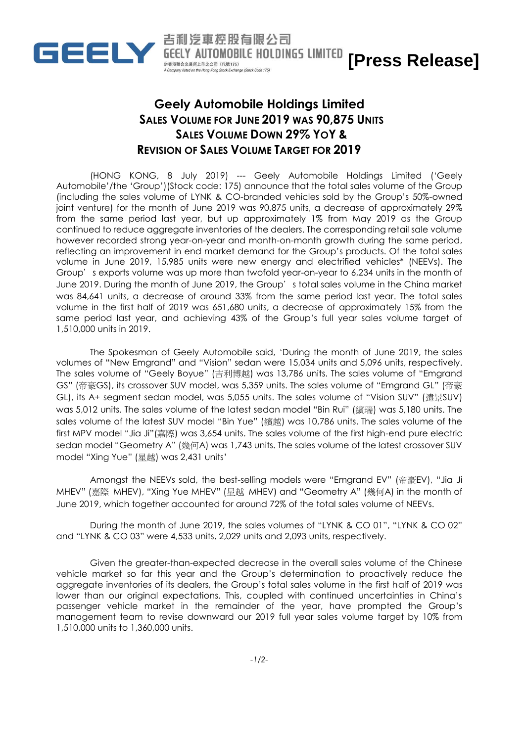

**GEELY AUTOMOBILE HOLDINGS LIMITED [Press Release]**

## **Geely Automobile Holdings Limited SALES VOLUME FOR JUNE 2019 WAS 90,875 UNITS SALES VOLUME DOWN 29% YOY & REVISION OF SALES VOLUME TARGET FOR 2019**

吉利汽車控股有限公司

於香港聯合交易所上市之公司 (代號175)

(HONG KONG, 8 July 2019) --- Geely Automobile Holdings Limited ('Geely Automobile'/the 'Group')(Stock code: 175) announce that the total sales volume of the Group (including the sales volume of LYNK & CO-branded vehicles sold by the Group's 50%-owned joint venture) for the month of June 2019 was 90,875 units, a decrease of approximately 29% from the same period last year, but up approximately 1% from May 2019 as the Group continued to reduce aggregate inventories of the dealers. The corresponding retail sale volume however recorded strong year-on-year and month-on-month growth during the same period, reflecting an improvement in end market demand for the Group's products. Of the total sales volume in June 2019, 15,985 units were new energy and electrified vehicles\* (NEEVs). The Group's exports volume was up more than twofold year-on-year to 6,234 units in the month of June 2019. During the month of June 2019, the Group's total sales volume in the China market was 84,641 units, a decrease of around 33% from the same period last year. The total sales volume in the first half of 2019 was 651,680 units, a decrease of approximately 15% from the same period last year, and achieving 43% of the Group's full year sales volume target of 1,510,000 units in 2019.

The Spokesman of Geely Automobile said, 'During the month of June 2019, the sales volumes of "New Emgrand" and "Vision" sedan were 15,034 units and 5,096 units, respectively. The sales volume of "Geely Boyue" (吉利博越) was 13,786 units. The sales volume of "Emgrand GS" (帝豪GS), its crossover SUV model, was 5,359 units. The sales volume of "Emgrand GL" (帝豪 GL), its A+ segment sedan model, was 5,055 units. The sales volume of "Vision SUV" (遠景SUV) was 5,012 units. The sales volume of the latest sedan model "Bin Rui" (繽瑞) was 5,180 units. The sales volume of the latest SUV model "Bin Yue" (繽越) was 10,786 units. The sales volume of the first MPV model "Jia Ji"(嘉際) was 3,654 units. The sales volume of the first high-end pure electric sedan model "Geometry A" (幾何A) was 1,743 units. The sales volume of the latest crossover SUV model "Xing Yue" (星越) was 2,431 units'

Amongst the NEEVs sold, the best-selling models were "Emgrand EV" (帝豪EV), "Jia Ji MHEV" (嘉際 MHEV), "Xing Yue MHEV" (星越 MHEV) and "Geometry A" (幾何A) in the month of June 2019, which together accounted for around 72% of the total sales volume of NEEVs.

During the month of June 2019, the sales volumes of "LYNK & CO 01", "LYNK & CO 02" and "LYNK & CO 03" were 4,533 units, 2,029 units and 2,093 units, respectively.

Given the greater-than-expected decrease in the overall sales volume of the Chinese vehicle market so far this year and the Group's determination to proactively reduce the aggregate inventories of its dealers, the Group's total sales volume in the first half of 2019 was lower than our original expectations. This, coupled with continued uncertainties in China's passenger vehicle market in the remainder of the year, have prompted the Group's management team to revise downward our 2019 full year sales volume target by 10% from 1,510,000 units to 1,360,000 units.